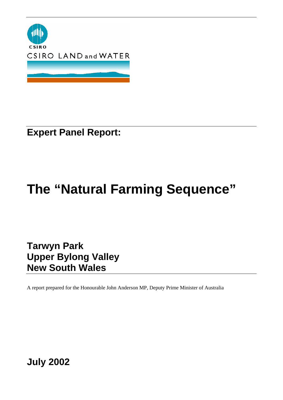

**Expert Panel Report:** 

# **The "Natural Farming Sequence"**

**Tarwyn Park Upper Bylong Valley New South Wales** 

A report prepared for the Honourable John Anderson MP, Deputy Prime Minister of Australia

**July 2002**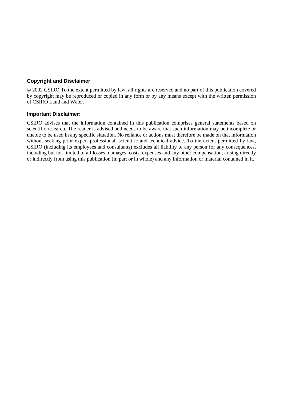## **Copyright and Disclaimer**

© 2002 CSIRO To the extent permitted by law, all rights are reserved and no part of this publication covered by copyright may be reproduced or copied in any form or by any means except with the written permission of CSIRO Land and Water.

## **Important Disclaimer:**

CSIRO advises that the information contained in this publication comprises general statements based on scientific research. The reader is advised and needs to be aware that such information may be incomplete or unable to be used in any specific situation. No reliance or actions must therefore be made on that information without seeking prior expert professional, scientific and technical advice. To the extent permitted by law, CSIRO (including its employees and consultants) excludes all liability to any person for any consequences, including but not limited to all losses, damages, costs, expenses and any other compensation, arising directly or indirectly from using this publication (in part or in whole) and any information or material contained in it.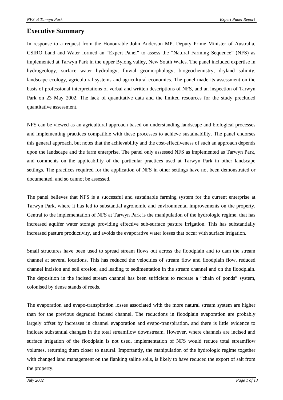# **Executive Summary**

In response to a request from the Honourable John Anderson MP, Deputy Prime Minister of Australia, CSIRO Land and Water formed an "Expert Panel" to assess the "Natural Farming Sequence" (NFS) as implemented at Tarwyn Park in the upper Bylong valley, New South Wales. The panel included expertise in hydrogeology, surface water hydrology, fluvial geomorphology, biogeochemistry, dryland salinity, landscape ecology, agricultural systems and agricultural economics. The panel made its assessment on the basis of professional interpretations of verbal and written descriptions of NFS, and an inspection of Tarwyn Park on 23 May 2002. The lack of quantitative data and the limited resources for the study precluded quantitative assessment.

NFS can be viewed as an agricultural approach based on understanding landscape and biological processes and implementing practices compatible with these processes to achieve sustainability. The panel endorses this general approach, but notes that the achievability and the cost-effectiveness of such an approach depends upon the landscape and the farm enterprise. The panel only assessed NFS as implemented as Tarwyn Park, and comments on the applicability of the particular practices used at Tarwyn Park in other landscape settings. The practices required for the application of NFS in other settings have not been demonstrated or documented, and so cannot be assessed.

The panel believes that NFS is a successful and sustainable farming system for the current enterprise at Tarwyn Park, where it has led to substantial agronomic and environmental improvements on the property. Central to the implementation of NFS at Tarwyn Park is the manipulation of the hydrologic regime, that has increased aquifer water storage providing effective sub-surface pasture irrigation. This has substantially increased pasture productivity, and avoids the evaporative water losses that occur with surface irrigation.

Small structures have been used to spread stream flows out across the floodplain and to dam the stream channel at several locations. This has reduced the velocities of stream flow and floodplain flow, reduced channel incision and soil erosion, and leading to sedimentation in the stream channel and on the floodplain. The deposition in the incised stream channel has been sufficient to recreate a "chain of ponds" system, colonised by dense stands of reeds.

The evaporation and evapo-transpiration losses associated with the more natural stream system are higher than for the previous degraded incised channel. The reductions in floodplain evaporation are probably largely offset by increases in channel evaporation and evapo-transpiration, and there is little evidence to indicate substantial changes in the total streamflow downstream. However, where channels are incised and surface irrigation of the floodplain is not used, implementation of NFS would reduce total streamflow volumes, returning them closer to natural. Importantly, the manipulation of the hydrologic regime together with changed land management on the flanking saline soils, is likely to have reduced the export of salt from the property.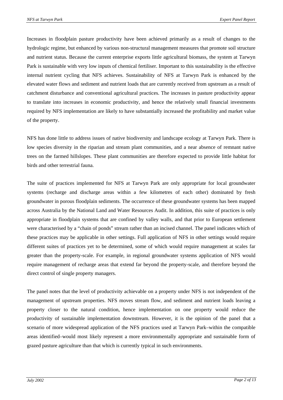Increases in floodplain pasture productivity have been achieved primarily as a result of changes to the hydrologic regime, but enhanced by various non-structural management measures that promote soil structure and nutrient status. Because the current enterprise exports little agricultural biomass, the system at Tarwyn Park is sustainable with very low inputs of chemical fertiliser. Important to this sustainability is the effective internal nutrient cycling that NFS achieves. Sustainability of NFS at Tarwyn Park is enhanced by the elevated water flows and sediment and nutrient loads that are currently received from upstream as a result of catchment disturbance and conventional agricultural practices. The increases in pasture productivity appear to translate into increases in economic productivity, and hence the relatively small financial investments required by NFS implementation are likely to have substantially increased the profitability and market value of the property.

NFS has done little to address issues of native biodiversity and landscape ecology at Tarwyn Park. There is low species diversity in the riparian and stream plant communities, and a near absence of remnant native trees on the farmed hillslopes. These plant communities are therefore expected to provide little habitat for birds and other terrestrial fauna.

The suite of practices implemented for NFS at Tarwyn Park are only appropriate for local groundwater systems (recharge and discharge areas within a few kilometres of each other) dominated by fresh groundwater in porous floodplain sediments. The occurrence of these groundwater systems has been mapped across Australia by the National Land and Water Resources Audit. In addition, this suite of practices is only appropriate in floodplain systems that are confined by valley walls, and that prior to European settlement were characterised by a "chain of ponds" stream rather than an incised channel. The panel indicates which of these practices may be applicable in other settings. Full application of NFS in other settings would require different suites of practices yet to be determined, some of which would require management at scales far greater than the property-scale. For example, in regional groundwater systems application of NFS would require management of recharge areas that extend far beyond the property-scale, and therefore beyond the direct control of single property managers.

The panel notes that the level of productivity achievable on a property under NFS is not independent of the management of upstream properties. NFS moves stream flow, and sediment and nutrient loads leaving a property closer to the natural condition, hence implementation on one property would reduce the productivity of sustainable implementation downstream. However, it is the opinion of the panel that a scenario of more widespread application of the NFS practices used at Tarwyn Park–within the compatible areas identified–would most likely represent a more environmentally appropriate and sustainable form of grazed pasture agriculture than that which is currently typical in such environments.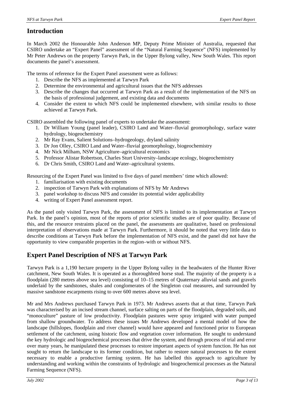# **Introduction**

In March 2002 the Honourable John Anderson MP, Deputy Prime Minister of Australia, requested that CSIRO undertake an "Expert Panel" assessment of the "Natural Farming Sequence" (NFS) implemented by Mr Peter Andrews on the property Tarwyn Park, in the Upper Bylong valley, New South Wales. This report documents the panel's assessment.

The terms of reference for the Expert Panel assessment were as follows:

- 1. Describe the NFS as implemented at Tarwyn Park
- 2. Determine the environmental and agricultural issues that the NFS addresses
- 3. Describe the changes that occurred at Tarwyn Park as a result of the implementation of the NFS on the basis of professional judgement, and existing data and documents
- 4. Consider the extent to which NFS could be implemented elsewhere, with similar results to those achieved at Tarwyn Park.

CSIRO assembled the following panel of experts to undertake the assessment:

- 1. Dr William Young (panel leader), CSIRO Land and Water–fluvial geomorphology, surface water hydrology, biogeochemistry
- 2. Mr Ray Evans, Salient Solutions–hydrogeology, dryland salinity
- 3. Dr Jon Olley, CSIRO Land and Water–fluvial geomorphology, biogeochemistry
- 4. Mr Nick Milham, NSW Agriculture–agricultural economics
- 5. Professor Alistar Robertson, Charles Sturt University–landscape ecology, biogeochemistry
- 6. Dr Chris Smith, CSIRO Land and Water–agricultural systems.

Resourcing of the Expert Panel was limited to five days of panel members' time which allowed:

- 1. familiarisation with existing documents
- 2. inspection of Tarwyn Park with explanations of NFS by Mr Andrews
- 3. panel workshop to discuss NFS and consider its potential wider applicability
- 4. writing of Expert Panel assessment report.

As the panel only visited Tarwyn Park, the assessment of NFS is limited to its implementation at Tarwyn Park. In the panel's opinion, most of the reports of prior scientific studies are of poor quality. Because of this, and the resource restraints placed on the panel, the assessments are qualitative, based on professional interpretation of observations made at Tarwyn Park. Furthermore, it should be noted that very little data to describe conditions at Tarwyn Park before the implementation of NFS exist, and the panel did not have the opportunity to view comparable properties in the region–with or without NFS.

# **Expert Panel Description of NFS at Tarwyn Park**

Tarwyn Park is a 1,190 hectare property in the Upper Bylong valley in the headwaters of the Hunter River catchment, New South Wales. It is operated as a thoroughbred horse stud. The majority of the property is a floodplain (280 metres above sea level) consisting of 10–15 metres of Quaternary alluvial sands and gravels underlaid by the sandstones, shales and conglomerates of the Singleton coal measures, and surrounded by massive sandstone escarpments rising to over 600 metres above sea level.

Mr and Mrs Andrews purchased Tarwyn Park in 1973. Mr Andrews asserts that at that time, Tarwyn Park was characterised by an incised stream channel, surface salting on parts of the floodplain, degraded soils, and "monoculture" pasture of low productivity. Floodplain pastures were spray irrigated with water pumped from shallow groundwater. To address these issues Mr Andrews developed a mental model of how the landscape (hillslopes, floodplain and river channel) would have appeared and functioned prior to European settlement of the catchment, using historic flow and vegetation cover information. He sought to understand the key hydrologic and biogeochemical processes that drive the system, and through process of trial and error over many years, he manipulated these processes to restore important aspects of system function. He has not sought to return the landscape to its former condition, but rather to restore natural processes to the extent necessary to enable a productive farming system. He has labelled this approach to agriculture by understanding and working within the constraints of hydrologic and biogeochemical processes as the Natural Farming Sequence (NFS).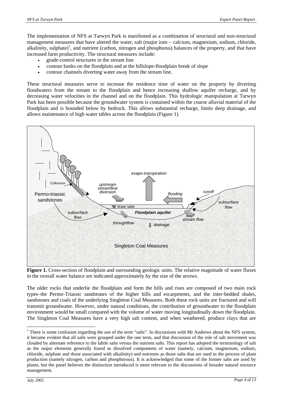The implementation of NFS at Tarwyn Park is manifested as a combination of structural and non-structural management measures that have altered the water, salt (major ions – calcium, magnesium, sodium, chloride, alkalinity, sulphate)<sup>1</sup>, and nutrient (carbon, nitrogen and phosphorus) balances of the property, and that have increased farm productivity. The structural measures include:

- grade-control structures in the stream line
- contour banks on the floodplain and at the hillslope-floodplain break of slope
- contour channels diverting water away from the stream line.

These structural measures serve to increase the residence time of water on the property by diverting floodwaters from the stream to the floodplain and hence increasing shallow aquifer recharge, and by decreasing water velocities in the channel and on the floodplain. This hydrologic manipulation at Tarwyn Park has been possible because the groundwater system is contained within the coarse alluvial material of the floodplain and is bounded below by bedrock. This allows substantial recharge, limits deep drainage, and allows maintenance of high water tables across the floodplain (Figure 1).



**Figure 1.** Cross-section of floodplain and surrounding geologic units. The relative magnitude of water fluxes in the overall water balance are indicated approximately by the size of the arrows.

The older rocks that underlie the floodplain and form the hills and rises are composed of two main rock types–the Permo-Triassic sandstones of the higher hills and escarpments, and the inter-bedded shales, sandstones and coals of the underlying Singleton Coal Measures. Both these rock units are fractured and will transmit groundwater. However, under natural conditions, the contribution of groundwater to the floodplain environment would be small compared with the volume of water moving longitudinally down the floodplain. The Singleton Coal Measures have a very high salt content, and when weathered, produce clays that are

 $\overline{a}$ 

<sup>&</sup>lt;sup>1</sup> There is some confusion regarding the use of the term "salts". In discussions with Mr Andrews about the NFS system, it became evident that all salts were grouped under the one term, and that discussion of the role of salt movement was clouded by alternate reference to the labile salts versus the nutrient salts. This report has adopted the terminology of salt as the major elements generally found as dissolved components of water (namely, calcium, magnesium, sodium, chloride, sulphate and those associated with alkalinity) and nutrients as those salts that are used in the process of plant production (namely nitrogen, carbon and phosphorous). It is acknowledged that some of the former salts are used by plants, but the panel believes the distinction introduced is more relevant to the discussions of broader natural resource management.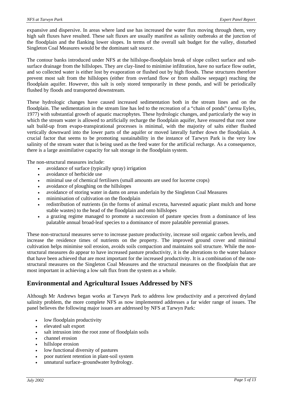expansive and dispersive. In areas where land use has increased the water flux moving through them, very high salt fluxes have resulted. These salt fluxes are usually manifest as salinity outbreaks at the junction of the floodplain and the flanking lower slopes. In terms of the overall salt budget for the valley, disturbed Singleton Coal Measures would be the dominant salt source.

The contour banks introduced under NFS at the hillslope-floodplain break of slope collect surface and subsurface drainage from the hillslopes. They are clay-lined to minimise infiltration, have no surface flow outlet, and so collected water is either lost by evaporation or flushed out by high floods. These structures therefore prevent most salt from the hillslopes (either from overland flow or from shallow seepage) reaching the floodplain aquifer. However, this salt is only stored temporarily in these ponds, and will be periodically flushed by floods and transported downstream.

These hydrologic changes have caused increased sedimentation both in the stream lines and on the floodplain. The sedimentation in the stream line has led to the recreation of a "chain of ponds" (*sensu* Eyles, 1977) with substantial growth of aquatic macrophytes. These hydrologic changes, and particularly the way in which the stream water is allowed to artificially recharge the floodplain aquifer, have ensured that root zone salt build-up from evapo-transpirational processes is minimal, with the majority of salts either flushed vertically downward into the lower parts of the aquifer or moved laterally further down the floodplain. A crucial factor that seems to be promoting sustainability in the instance of Tarwyn Park is the very low salinity of the stream water that is being used as the feed water for the artificial recharge. As a consequence, there is a large assimilative capacity for salt storage in the floodplain system.

The non-structural measures include:

- avoidance of surface (typically spray) irrigation
- avoidance of herbicide use
- minimal use of chemical fertilisers (small amounts are used for lucerne crops)
- avoidance of ploughing on the hillslopes
- avoidance of storing water in dams on areas underlain by the Singleton Coal Measures
- minimisation of cultivation on the floodplain
- redistribution of nutrients (in the forms of animal excreta, harvested aquatic plant mulch and horse stable wastes) to the head of the floodplain and onto hillslopes
- a grazing regime managed to promote a succession of pasture species from a dominance of less palatable annual broad-leaf species to a dominance of more palatable perennial grasses.

These non-structural measures serve to increase pasture productivity, increase soil organic carbon levels, and increase the residence times of nutrients on the property. The improved ground cover and minimal cultivation helps minimise soil erosion, avoids soils compaction and maintains soil structure. While the nonstructural measures do appear to have increased pasture productivity, it is the alterations to the water balance that have been achieved that are most important for the increased productivity. It is a combination of the nonstructural measures on the Singleton Coal Measures and the structural measures on the floodplain that are most important in achieving a low salt flux from the system as a whole.

# **Environmental and Agricultural Issues Addressed by NFS**

Although Mr Andrews began works at Tarwyn Park to address low productivity and a perceived dryland salinity problem, the more complete NFS as now implemented addresses a far wider range of issues. The panel believes the following major issues are addressed by NFS at Tarwyn Park:

- low floodplain productivity
- elevated salt export
- salt intrusion into the root zone of floodplain soils
- channel erosion
- hillslope erosion
- low functional diversity of pastures
- poor nutrient retention in plant-soil system
- unnatural surface–groundwater hydrology.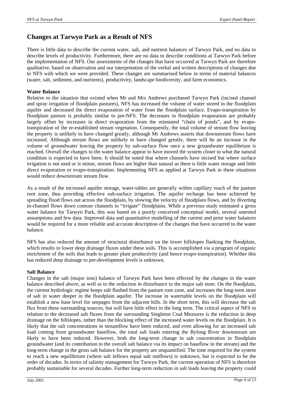# **Changes at Tarwyn Park as a Result of NFS**

There is little data to describe the current water, salt, and nutrient balances of Tarwyn Park, and no data to describe levels of productivity. Furthermore, there are no data to describe conditions at Tarwyn Park before the implementation of NFS. Our assessments of the changes that have occurred at Tarwyn Park are therefore qualitative, based on observation and our interpretation of the verbal and written descriptions of changes due to NFS with which we were provided. These changes are summarised below in terms of material balances (water, salt, sediment, and nutrients), productivity, landscape biodiversity, and farm economics.

## **Water Balance**

Relative to the situation that existed when Mr and Mrs Andrews purchased Tarwyn Park (incised channel and spray irrigation of floodplain pastures), NFS has increased the volume of water stored in the floodplain aquifer and decreased the direct evaporation of water from the floodplain surface. Evapo-transpiration by floodplain pasture is probably similar to pre-NFS. The decreases in floodplain evaporation are probably largely offset by increases in direct evaporation from the reinstated "chain of ponds", and by evapotranspiration of the re-established stream vegetation. Consequently, the total volume of stream flow leaving the property is unlikely to have changed greatly, although Mr Andrews asserts that downstream flows have increased. Although stream flows are unlikely to have changed greatly, there will be an increase in the volume of groundwater leaving the property by sub-surface flow once a new groundwater equilibrium is reached. Overall the changes to the water balance appear to have moved the system closer to what the natural condition is expected to have been. It should be noted that where channels have incised but where surface irrigation is not used or is minor, stream flows are higher than natural as there is little water storage and little direct evaporation or evapo-transpiration. Implementing NFS as applied at Tarwyn Park in these situations would reduce downstream stream flow.

As a result of the increased aquifer storage, water-tables are generally within capillary reach of the pasture root zone, thus providing effective sub-surface irrigation. The aquifer recharge has been achieved by spreading flood flows out across the floodplain, by slowing the velocity of floodplain flows, and by diverting in-channel flows down contour channels to "irrigate" floodplains. While a previous study estimated a gross water balance for Tarwyn Park, this was based on a poorly conceived conceptual model, several untested assumptions and few data. Improved data and quantitative modelling of the current and prior water balances would be required for a more reliable and accurate description of the changes that have occurred to the water balance.

NFS has also reduced the amount of structural disturbance on the lower hillslopes flanking the floodplain, which results in lower deep drainage fluxes under these soils. This is accomplished via a program of organic enrichment of the soils that leads to greater plant productivity (and hence evapo-transpiration). Whether this has reduced deep drainage to pre-development levels is unknown.

## **Salt Balance**

Changes in the salt (major ions) balance of Tarwyn Park have been effected by the changes in the water balance described above, as well as to the reduction in disturbance to the major salt store. On the floodplain, the current hydrologic regime keeps salt flushed from the pasture root zone, and increases the long-term store of salt in water deeper in the floodplain aquifer. The increase in watertable levels on the floodplain will establish a new base level for seepages from the adjacent hills. In the short term, this will decrease the salt flux from these surrounding sources, but will have little effect in the long term. The critical aspect of NFS in relation to the decreased salt fluxes from the surrounding Singleton Coal Measures is the reduction in deep drainage on the hillslopes, rather than the blocking effect of the increased water levels on the floodplain. It is likely that the salt concentrations in streamflow have been reduced, and even allowing for an increased salt load coming from groundwater baseflow, the total salt loads entering the Bylong River downstream are likely to have been reduced. However, both the long-term change in salt concentration in floodplain groundwater (and its contribution to the overall salt balance via its impact on baseflow in the stream) and the long-term change in the gross salt balance for the property are unquantified. The time required for the system to reach a new equilibrium (where salt inflows equal salt outflows) is unknown, but is expected to be the order of decades. In terms of salinity management for Tarwyn Park, the current operation of NFS is therefore probably sustainable for several decades. Further long-term reduction in salt loads leaving the property could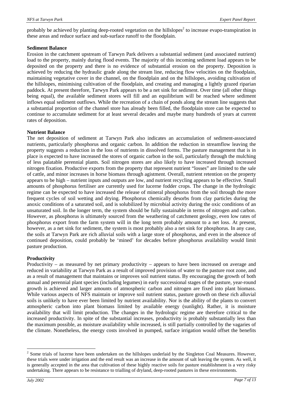probably be achieved by planting deep-rooted vegetation on the hillslopes<sup>2</sup> to increase evapo-transpiration in these areas and reduce surface and sub-surface runoff to the floodplain.

#### **Sediment Balance**

Erosion in the catchment upstream of Tarwyn Park delivers a substantial sediment (and associated nutrient) load to the property, mainly during flood events. The majority of this incoming sediment load appears to be deposited on the property and there is no evidence of substantial erosion on the property. Deposition is achieved by reducing the hydraulic grade along the stream line, reducing flow velocities on the floodplain, maintaining vegetative cover in the channel, on the floodplain and on the hillslopes, avoiding cultivation of the hillslopes, minimising cultivation of the floodplain, and creating and managing a lightly grazed riparian paddock. At present therefore, Tarwyn Park appears to be a net sink for sediment. Over time (all other things being equal), the available sediment stores will fill and an equilibrium will be reached where sediment inflows equal sediment outflows. While the recreation of a chain of ponds along the stream line suggests that a substantial proportion of the channel store has already been filled, the floodplain store can be expected to continue to accumulate sediment for at least several decades and maybe many hundreds of years at current rates of deposition.

#### **Nutrient Balance**

The net deposition of sediment at Tarwyn Park also indicates an accumulation of sediment-associated nutrients, particularly phosphorus and organic carbon. In addition the reduction in streamflow leaving the property suggests a reduction in the loss of nutrients in dissolved forms. The pasture management that is in place is expected to have increased the stores of organic carbon in the soil, particularly through the mulching of less palatable perennial plants. Soil nitrogen stores are also likely to have increased through increased nitrogen fixation. Productive exports from the property that represent nutrient "losses" are limited to the sale of cattle, and minor increases in horse biomass through agistment. Overall, nutrient retention on the property appears to be high – nutrient inputs and outputs are low, and nutrient recycling appears to be effective. Small amounts of phosphorus fertiliser are currently used for lucerne fodder crops. The change in the hydrologic regime can be expected to have increased the release of mineral phosphorus from the soil through the more frequent cycles of soil wetting and drying. Phosphorus chemically desorbs from clay particles during the anoxic conditions of a saturated soil, and is solubilized by microbial activity during the oxic conditions of an unsaturated soil. In the longer term, the system should be fully sustainable in terms of nitrogen and carbon. However, as phosphorus is ultimately sourced from the weathering of catchment geology, even low rates of phosphorus export from the farm system will in the long term probably amount to a net loss. At present, however, as a net sink for sediment, the system is most probably also a net sink for phosphorus. In any case, the soils at Tarwyn Park are rich alluvial soils with a large store of phosphorus, and even in the absence of continued deposition, could probably be 'mined' for decades before phosphorus availability would limit pasture production.

### **Productivity**

Productivity – as measured by net primary productivity – appears to have been increased on average and reduced in variability at Tarwyn Park as a result of improved provision of water to the pasture root zone, and as a result of management that maintains or improves soil nutrient status. By encouraging the growth of both annual and perennial plant species (including legumes) in early successional stages of the pasture, year-round growth is achieved and larger amounts of atmospheric carbon and nitrogen are fixed into plant biomass. While various aspects of NFS maintain or improve soil nutrient status, pasture growth on these rich alluvial soils is unlikely to have ever been limited by nutrient availability. Nor is the ability of the plants to convert atmospheric carbon into plant biomass limited by available energy (sunlight). Rather, it is moisture availability that will limit production. The changes in the hydrologic regime are therefore critical to the increased productivity. In spite of the substantial increases, productivity is probably substantially less than the maximum possible, as moisture availability while increased, is still partially controlled by the vagaries of the climate. Nonetheless, the energy costs involved in pumped, surface irrigation would offset the benefits

l

 $2^2$  Some trials of lucerne have been undertaken on the hillslopes underlaid by the Singleton Coal Measures. However, these trials were under irrigation and the end result was an increase in the amount of salt leaving the system. As well, it is generally accepted in the area that cultivation of these highly reactive soils for pasture establishment is a very risky undertaking. There appears to be resistance to trialling of dryland, deep-rooted pastures in these environments.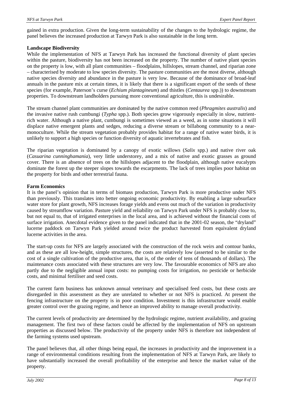gained in extra production. Given the long-term sustainability of the changes to the hydrologic regime, the panel believes the increased production at Tarwyn Park is also sustainable in the long term.

### **Landscape Biodiversity**

While the implementation of NFS at Tarwyn Park has increased the functional diversity of plant species within the pasture, biodiversity has not been increased on the property. The number of native plant species on the property is low, with all plant communities – floodplains, hillslopes, stream channel, and riparian zone – characterised by moderate to low species diversity. The pasture communities are the most diverse, although native species diversity and abundance in the pasture is very low. Because of the dominance of broad-leaf annuals in the pasture mix at certain times, it is likely that there is a significant export of the seeds of these species (for example, Paterson's curse (*Echium plantagineum*) and thistles (*Centaurea* spp.)) to downstream properties. To downstream landholders pursuing more conventional agriculture, this is undesirable.

The stream channel plant communities are dominated by the native common reed (*Phragmites australis*) and the invasive native rush cumbungi (*Typha* spp.). Both species grow vigorously especially in slow, nutrientrich water. Although a native plant, cumbungi is sometimes viewed as a weed, as in some situations it will displace native emergent plants and sedges, reducing a diverse stream or billabong community to a nearmonoculture. While the stream vegetation probably provides habitat for a range of native water birds, it is unlikely to support a high species or function diversity of aquatic invertebrates and fish.

The riparian vegetation is dominated by a canopy of exotic willows (*Salix* spp.) and native river oak (*Casuarina cunninghamania*), very little understorey, and a mix of native and exotic grasses as ground cover. There is an absence of trees on the hillslopes adjacent to the floodplain, although native eucalypts dominate the forest up the steeper slopes towards the escarpments. The lack of trees implies poor habitat on the property for birds and other terrestrial fauna.

### **Farm Economics**

It is the panel's opinion that in terms of biomass production, Tarwyn Park is more productive under NFS than previously. This translates into better ongoing economic productivity. By enabling a large subsurface water store for plant growth, NFS increases forage yields and evens out much of the variation in productivity caused by streamflow variation. Pasture yield and reliability on Tarwyn Park under NFS is probably close to, but not equal to, that of irrigated enterprises in the local area, and is achieved without the financial costs of surface irrigation. Anecdotal evidence given to the panel indicated that in the 2001-02 season, the "dryland" lucerne paddock on Tarwyn Park yielded around twice the product harvested from equivalent dryland lucerne activities in the area.

The start-up costs for NFS are largely associated with the construction of the rock weirs and contour banks, and as these are all low-height, simple structures, the costs are relatively low (asserted to be similar to the cost of a single cultivation of the productive area, that is, of the order of tens of thousands of dollars). The maintenance costs associated with these structures are very low. The favourable economics of NFS are also partly due to the negligible annual input costs: no pumping costs for irrigation, no pesticide or herbicide costs, and minimal fertiliser and seed costs.

The current farm business has unknown annual veterinary and specialised feed costs, but these costs are disregarded in this assessment as they are unrelated to whether or not NFS is practiced. At present the fencing infrastructure on the property is in poor condition. Investment is this infrastructure would enable greater control over the grazing regime, and hence an improved ability to manage overall productivity.

The current levels of productivity are determined by the hydrologic regime, nutrient availability, and grazing management. The first two of these factors could be affected by the implementation of NFS on upstream properties as discussed below. The productivity of the property under NFS is therefore not independent of the farming systems used upstream.

The panel believes that, all other things being equal, the increases in productivity and the improvement in a range of environmental conditions resulting from the implementation of NFS at Tarwyn Park, are likely to have substantially increased the overall profitability of the enterprise and hence the market value of the property.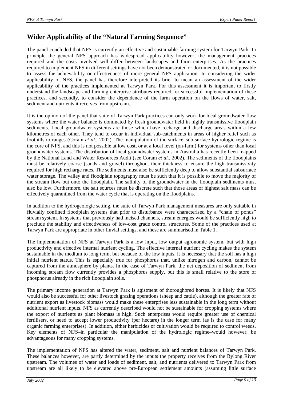# **Wider Applicability of the "Natural Farming Sequence"**

The panel concluded that NFS is currently an effective and sustainable farming system for Tarwyn Park. In principle the general NFS approach has widespread applicability–however, the management practices required and the costs involved will differ between landscapes and farm enterprises. As the practices required to implement NFS in different settings have not been demonstrated or documented, it is not possible to assess the achievability or effectiveness of more general NFS application. In considering the wider applicability of NFS, the panel has therefore interpreted its brief to mean an assessment of the wider applicability of the practices implemented at Tarwyn Park. For this assessment it is important to firstly understand the landscape and farming enterprise attributes required for successful implementation of these practices, and secondly, to consider the dependence of the farm operation on the flows of water, salt, sediment and nutrients it receives from upstream.

It is the opinion of the panel that suite of Tarwyn Park practices can only work for local groundwater flow systems where the water balance is dominated by fresh groundwater held in highly transmissive floodplain sediments. Local groundwater systems are those which have recharge and discharge areas within a few kilometres of each other. They tend to occur in individual sub-catchments in areas of higher relief such as foothills to ranges (Coram *et al.*, 2002). The manipulation of the surface–sub-surface hydrologic regime is the core of NFS, and this is not possible at low cost, or at a local level (on-farm) for systems other than local groundwater systems. The distribution of local groundwater systems in Australia has recently been mapped by the National Land and Water Resources Audit (see Coram *et al.*, 2002). The sediments of the floodplains must be relatively coarse (sands and gravel) throughout their thickness to ensure the high transmissivity required for high recharge rates. The sediments must also be sufficiently deep to allow substantial subsurface water storage. The valley and floodplain topography must be such that it is possible to move the majority of the stream flow out onto the floodplain. The salinity of the groundwater in the floodplain sediments must also be low. Furthermore, the salt sources must be discrete such that those areas of highest salt mass can be effectively quarantined from the water cycle that is operating on the floodplains.

In addition to the hydrogeologic setting, the suite of Tarwyn Park management measures are only suitable in fluvially confined floodplain systems that prior to disturbance were characterised by a "chain of ponds" stream system. In systems that previously had incised channels, stream energies would be sufficiently high to preclude the stability and effectiveness of low-cost grade control structures. Some of the practices used at Tarwyn Park are appropriate in other fluvial settings, and these are summarised in Table 1.

The implementation of NFS at Tarwyn Park is a low input, low output agronomic system, but with high productivity and effective internal nutrient cycling. The effective internal nutrient cycling makes the system sustainable in the medium to long term, but because of the low inputs, it is necessary that the soil has a high initial nutrient status. This is especially true for phosphorus that, unlike nitrogen and carbon, cannot be captured from the atmosphere by plants. In the case of Tarwyn Park, the net deposition of sediment from incoming stream flow currently provides a phosphorus supply, but this is small relative to the store of phosphorus already in the rich floodplain soils.

The primary income generation at Tarwyn Park is agistment of thoroughbred horses. It is likely that NFS would also be successful for other livestock grazing operations (sheep and cattle), although the greater rate of nutrient export as livestock biomass would make these enterprises less sustainable in the long term without additional nutrient inputs. NFS as currently described would not be sustainable for cropping systems where the export of nutrients as plant biomass is high. Such enterprises would require greater use of chemical fertilisers, or need to accept lower productivity (per hectare) in the longer term (as is the case for many organic farming enterprises). In addition, either herbicides or cultivation would be required to control weeds. Key elements of NFS–in particular the manipulation of the hydrologic regime–would however, be advantageous for many cropping systems.

The implementation of NFS has altered the water, sediment, salt and nutrient balances of Tarwyn Park. These balances however, are partly determined by the inputs the property receives from the Bylong River upstream. The volumes of water and loads of sediment, salt, and nutrients delivered to Tarwyn Park from upstream are all likely to be elevated above pre-European settlement amounts (assuming little surface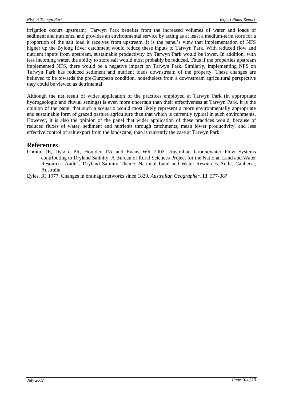irrigation occurs upstream). Tarwyn Park benefits from the increased volumes of water and loads of sediment and nutrients, and provides an environmental service by acting as at least a medium-term store for a proportion of the salt load it receives from upstream. It is the panel's view that implementation of NFS higher up the Bylong River catchment would reduce these inputs to Tarwyn Park. With reduced flow and nutrient inputs from upstream, sustainable productivity on Tarwyn Park would be lower. In addition, with less incoming water, the ability to store salt would most probably be reduced. Thus if the properties upstream implemented NFS, there would be a negative impact on Tarwyn Park. Similarly, implementing NFS on Tarwyn Park has reduced sediment and nutrient loads downstream of the property. These changes are believed to be towards the pre-European condition, nonetheless from a downstream agricultural perspective they could be viewed as detrimental.

Although the net result of wider application of the practices employed at Tarwyn Park (in appropriate hydrogeologic and fluvial settings) is even more uncertain than their effectiveness at Tarwyn Park, it is the opinion of the panel that such a scenario would most likely represent a more environmentally appropriate and sustainable form of grazed pasture agriculture than that which is currently typical in such environments. However, it is also the opinion of the panel that wider application of these practices would, because of reduced fluxes of water, sediment and nutrients through catchments, mean lower productivity, and less effective control of salt export from the landscape, than is currently the case at Tarwyn Park.

## **References**

Coram, JE, Dyson, PR, Houlder, PA and Evans WR 2002, Australian Groundwater Flow Systems contributing to Dryland Salinity. A Bureau of Rural Sciences Project for the National Land and Water Resources Audit's Dryland Salinity Theme. National Land and Water Resources Audit, Canberra, Australia.

Eyles, RJ 1977, Changes in drainage networks since 1820. *Australian Geographer*, **13**, 377-387.